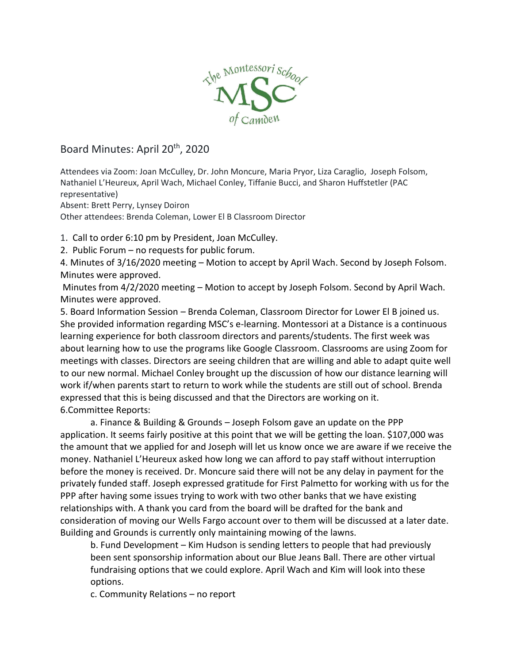

## Board Minutes: April 20<sup>th</sup>, 2020

Attendees via Zoom: Joan McCulley, Dr. John Moncure, Maria Pryor, Liza Caraglio, Joseph Folsom, Nathaniel L'Heureux, April Wach, Michael Conley, Tiffanie Bucci, and Sharon Huffstetler (PAC representative)

Absent: Brett Perry, Lynsey Doiron

Other attendees: Brenda Coleman, Lower El B Classroom Director

1. Call to order 6:10 pm by President, Joan McCulley.

2. Public Forum – no requests for public forum.

4. Minutes of 3/16/2020 meeting – Motion to accept by April Wach. Second by Joseph Folsom. Minutes were approved.

Minutes from 4/2/2020 meeting – Motion to accept by Joseph Folsom. Second by April Wach. Minutes were approved.

5. Board Information Session – Brenda Coleman, Classroom Director for Lower El B joined us. She provided information regarding MSC's e-learning. Montessori at a Distance is a continuous learning experience for both classroom directors and parents/students. The first week was about learning how to use the programs like Google Classroom. Classrooms are using Zoom for meetings with classes. Directors are seeing children that are willing and able to adapt quite well to our new normal. Michael Conley brought up the discussion of how our distance learning will work if/when parents start to return to work while the students are still out of school. Brenda expressed that this is being discussed and that the Directors are working on it. 6.Committee Reports:

a. Finance & Building & Grounds – Joseph Folsom gave an update on the PPP application. It seems fairly positive at this point that we will be getting the loan. \$107,000 was the amount that we applied for and Joseph will let us know once we are aware if we receive the money. Nathaniel L'Heureux asked how long we can afford to pay staff without interruption before the money is received. Dr. Moncure said there will not be any delay in payment for the privately funded staff. Joseph expressed gratitude for First Palmetto for working with us for the PPP after having some issues trying to work with two other banks that we have existing relationships with. A thank you card from the board will be drafted for the bank and consideration of moving our Wells Fargo account over to them will be discussed at a later date. Building and Grounds is currently only maintaining mowing of the lawns.

b. Fund Development – Kim Hudson is sending letters to people that had previously been sent sponsorship information about our Blue Jeans Ball. There are other virtual fundraising options that we could explore. April Wach and Kim will look into these options.

c. Community Relations – no report